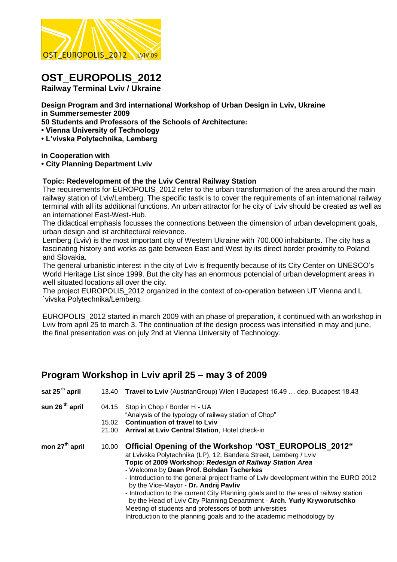

# **OST\_EUROPOLIS\_2012**

**Railway Terminal Lviv / Ukraine** 

**Design Program and 3rd international Workshop of Urban Design in Lviv, Ukraine in Summersemester 2009**

**50 Students and Professors of the Schools of Architecture:**

**• Vienna University of Technology** 

**• L'vivska Polytechnika, Lemberg** 

**in Cooperation with**

#### **• City Planning Department Lviv**

#### **Topic: Redevelopment of the the Lviv Central Railway Station**

The requirements for EUROPOLIS 2012 refer to the urban transformation of the area around the main railway station of Lviv/Lemberg. The specific tastk is to cover the requirements of an international railway terminal with all its additional functions. An urban attractor for he city of Lviv should be created as well as an internationel East-West-Hub.

The didactical emphasis focusses the connections between the dimension of urban development goals, urban design and ist architectural relevance.

Lemberg (Lviv) is the most important city of Western Ukraine with 700.000 inhabitants. The city has a fascinating history and works as gate between East and West by its direct border proximity to Poland and Slovakia.

The general urbanistic interest in the city of Lviv is frequently because of its City Center on UNESCO's World Heritage List since 1999. But the city has an enormous potencial of urban development areas in well situated locations all over the city.

The project EUROPOLIS\_2012 organized in the context of co-operation between UT Vienna and L `vivska Polytechnika/Lemberg.

EUROPOLIS\_2012 started in march 2009 with an phase of preparation, it continued with an workshop in Lviv from april 25 to march 3. The continuation of the design process was intensified in may and june, the final presentation was on july 2nd at Vienna University of Technology.

## **Program Workshop in Lviv april 25 – may 3 of 2009**

| sat 25 $th$ april          | 13.40          | Travel to Lviv (AustrianGroup) Wien I Budapest 16.49  dep. Budapest 18.43                                                                                                                                                                                                                                                                     |
|----------------------------|----------------|-----------------------------------------------------------------------------------------------------------------------------------------------------------------------------------------------------------------------------------------------------------------------------------------------------------------------------------------------|
| sun 26 <sup>th</sup> april | 04.15          | Stop in Chop / Border H - UA<br>"Analysis of the typology of railway station of Chop"                                                                                                                                                                                                                                                         |
|                            | 15.02<br>21.00 | <b>Continuation of travel to Lyiv</b><br><b>Arrival at Lviv Central Station, Hotel check-in</b>                                                                                                                                                                                                                                               |
| mon 27 <sup>th</sup> april | 10.00          | Official Opening of the Workshop "OST EUROPOLIS 2012"<br>at Lvivska Polytechnika (LP), 12, Bandera Street, Lemberg / Lviv<br>Topic of 2009 Workshop: Redesign of Railway Station Area<br>- Welcome by Dean Prof. Bohdan Tscherkes<br>- Introduction to the general project frame of Lviv development within the EURO 2012                     |
|                            |                | by the Vice-Mayor - Dr. Andrij Pavliv<br>- Introduction to the current City Planning goals and to the area of railway station<br>by the Head of Lviv City Planning Department - Arch. Yuriy Kryworutschko<br>Meeting of students and professors of both universities<br>Introduction to the planning goals and to the academic methodology by |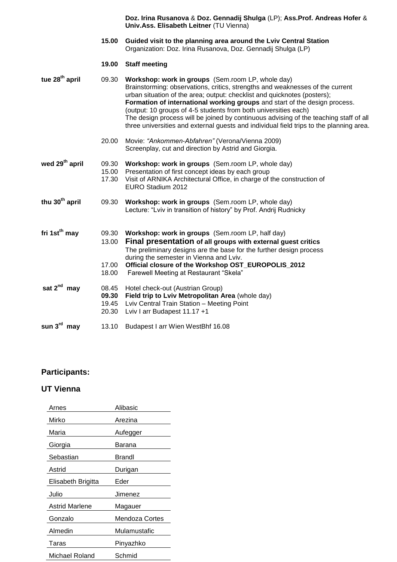|                            |                                  | Doz. Irina Rusanova & Doz. Gennadij Shulga (LP); Ass.Prof. Andreas Hofer &<br>Univ.Ass. Elisabeth Leitner (TU Vienna)                                                                                                                                                                                                                                                                                                                                                                                                                               |
|----------------------------|----------------------------------|-----------------------------------------------------------------------------------------------------------------------------------------------------------------------------------------------------------------------------------------------------------------------------------------------------------------------------------------------------------------------------------------------------------------------------------------------------------------------------------------------------------------------------------------------------|
|                            | 15.00                            | Guided visit to the planning area around the Lviv Central Station<br>Organization: Doz. Irina Rusanova, Doz. Gennadij Shulga (LP)                                                                                                                                                                                                                                                                                                                                                                                                                   |
|                            | 19.00                            | <b>Staff meeting</b>                                                                                                                                                                                                                                                                                                                                                                                                                                                                                                                                |
| tue 28 <sup>th</sup> april | 09.30                            | Workshop: work in groups (Sem.room LP, whole day)<br>Brainstorming: observations, critics, strengths and weaknesses of the current<br>urban situation of the area; output: checklist and quicknotes (posters);<br>Formation of international working groups and start of the design process.<br>(output: 10 groups of 4-5 students from both universities each)<br>The design process will be joined by continuous advising of the teaching staff of all<br>three universities and external guests and individual field trips to the planning area. |
|                            | 20.00                            | Movie: "Ankommen-Abfahren" (Verona/Vienna 2009)<br>Screenplay, cut and direction by Astrid and Giorgia.                                                                                                                                                                                                                                                                                                                                                                                                                                             |
| wed 29 <sup>th</sup> april | 09.30<br>15.00<br>17.30          | Workshop: work in groups (Sem.room LP, whole day)<br>Presentation of first concept ideas by each group<br>Visit of ARNIKA Architectural Office, in charge of the construction of<br>EURO Stadium 2012                                                                                                                                                                                                                                                                                                                                               |
| thu 30 <sup>th</sup> april | 09.30                            | Workshop: work in groups (Sem.room LP, whole day)<br>Lecture: "Lviv in transition of history" by Prof. Andrij Rudnicky                                                                                                                                                                                                                                                                                                                                                                                                                              |
| fri 1st <sup>th</sup> may  | 09.30<br>13.00<br>17.00<br>18.00 | Workshop: work in groups (Sem.room LP, half day)<br>Final presentation of all groups with external guest critics<br>The preliminary designs are the base for the further design process<br>during the semester in Vienna and Lviv.<br>Official closure of the Workshop OST_EUROPOLIS_2012<br>Farewell Meeting at Restaurant "Skela"                                                                                                                                                                                                                 |
| sat $2^{nd}$ may           | 08.45<br>09.30<br>19.45<br>20.30 | Hotel check-out (Austrian Group)<br>Field trip to Lviv Metropolitan Area (whole day)<br>Lviv Central Train Station - Meeting Point<br>Lviv I arr Budapest 11.17 +1                                                                                                                                                                                                                                                                                                                                                                                  |
| sun $3^{\text{rd}}$ may    | 13.10                            | Budapest I arr Wien WestBhf 16.08                                                                                                                                                                                                                                                                                                                                                                                                                                                                                                                   |

## **Participants:**

## **UT Vienna**

| Arnes                 | Alibasic       |
|-----------------------|----------------|
| Mirko                 | Arezina        |
| Maria                 | Aufegger       |
| Giorgia               | Barana         |
| Sebastian             | Brandl         |
| Astrid                | Durigan        |
| Elisabeth Brigitta    | Eder           |
| Julio                 | Jimenez        |
| <b>Astrid Marlene</b> | Magauer        |
| Gonzalo               | Mendoza Cortes |
| Almedin               | Mulamustafic   |
| Taras                 | Pinyazhko      |
| Michael Roland        | Schmid         |